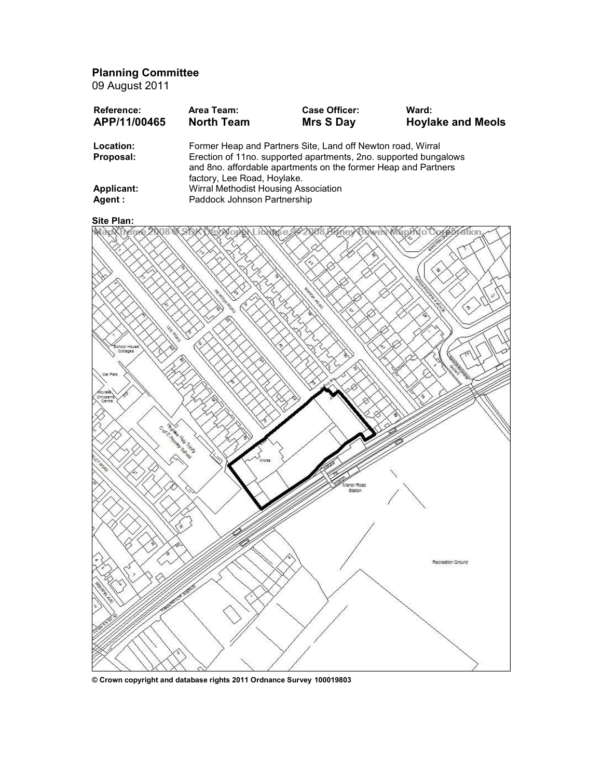Planning Committee

09 August 2011

| Reference:             | Area Team:                                                                                                                                                                                                                       | <b>Case Officer:</b> | Ward:                    |
|------------------------|----------------------------------------------------------------------------------------------------------------------------------------------------------------------------------------------------------------------------------|----------------------|--------------------------|
| APP/11/00465           | <b>North Team</b>                                                                                                                                                                                                                | <b>Mrs S Day</b>     | <b>Hoylake and Meols</b> |
| Location:<br>Proposal: | Former Heap and Partners Site, Land off Newton road, Wirral<br>Erection of 11no. supported apartments, 2no. supported bungalows<br>and 8no. affordable apartments on the former Heap and Partners<br>factory, Lee Road, Hoylake. |                      |                          |
| Applicant:             | Wirral Methodist Housing Association                                                                                                                                                                                             |                      |                          |
| Agent :                | Paddock Johnson Partnership                                                                                                                                                                                                      |                      |                          |

# Site Plan:



© Crown copyright and database rights 2011 Ordnance Survey 100019803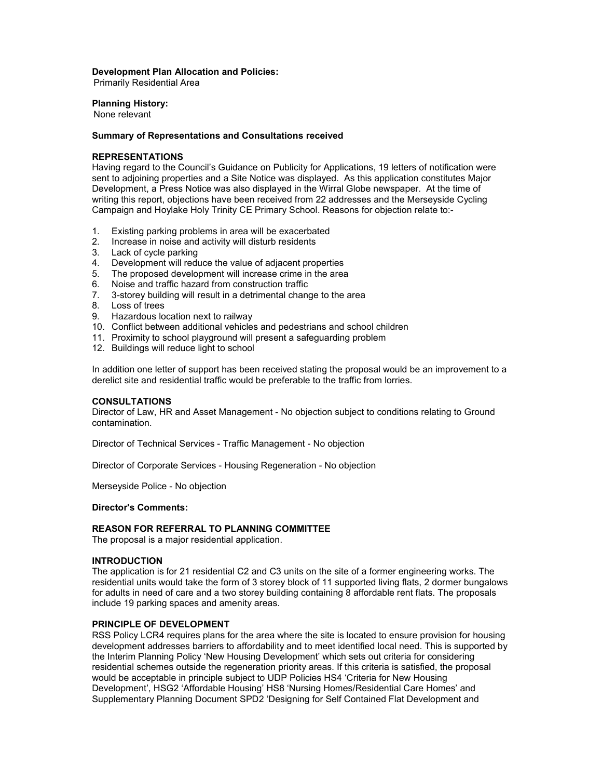#### Development Plan Allocation and Policies:

Primarily Residential Area

Planning History:

None relevant

# Summary of Representations and Consultations received

# REPRESENTATIONS

Having regard to the Council's Guidance on Publicity for Applications, 19 letters of notification were sent to adjoining properties and a Site Notice was displayed. As this application constitutes Major Development, a Press Notice was also displayed in the Wirral Globe newspaper. At the time of writing this report, objections have been received from 22 addresses and the Merseyside Cycling Campaign and Hoylake Holy Trinity CE Primary School. Reasons for objection relate to:-

- 1. Existing parking problems in area will be exacerbated
- 2. Increase in noise and activity will disturb residents
- 3. Lack of cycle parking
- 4. Development will reduce the value of adjacent properties
- 5. The proposed development will increase crime in the area
- 6. Noise and traffic hazard from construction traffic
- 7. 3-storey building will result in a detrimental change to the area
- 
- 8. Loss of trees<br>9. Hazardous lo Hazardous location next to railway
- 10. Conflict between additional vehicles and pedestrians and school children
- 11. Proximity to school playground will present a safeguarding problem
- 12. Buildings will reduce light to school

In addition one letter of support has been received stating the proposal would be an improvement to a derelict site and residential traffic would be preferable to the traffic from lorries.

#### **CONSULTATIONS**

Director of Law, HR and Asset Management - No objection subject to conditions relating to Ground contamination.

Director of Technical Services - Traffic Management - No objection

Director of Corporate Services - Housing Regeneration - No objection

Merseyside Police - No objection

#### Director's Comments:

#### REASON FOR REFERRAL TO PLANNING COMMITTEE

The proposal is a major residential application.

#### INTRODUCTION

The application is for 21 residential C2 and C3 units on the site of a former engineering works. The residential units would take the form of 3 storey block of 11 supported living flats, 2 dormer bungalows for adults in need of care and a two storey building containing 8 affordable rent flats. The proposals include 19 parking spaces and amenity areas.

### PRINCIPLE OF DEVELOPMENT

RSS Policy LCR4 requires plans for the area where the site is located to ensure provision for housing development addresses barriers to affordability and to meet identified local need. This is supported by the Interim Planning Policy 'New Housing Development' which sets out criteria for considering residential schemes outside the regeneration priority areas. If this criteria is satisfied, the proposal would be acceptable in principle subject to UDP Policies HS4 'Criteria for New Housing Development', HSG2 'Affordable Housing' HS8 'Nursing Homes/Residential Care Homes' and Supplementary Planning Document SPD2 'Designing for Self Contained Flat Development and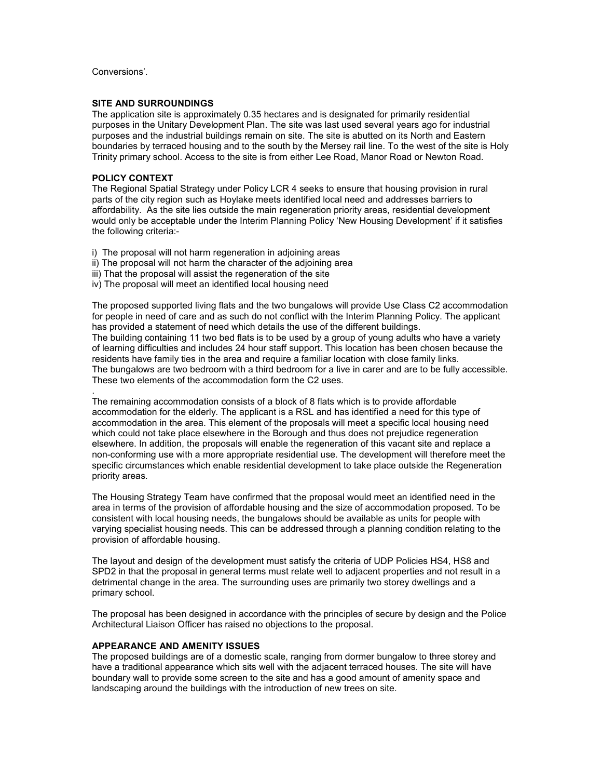Conversions'.

#### SITE AND SURROUNDINGS

The application site is approximately 0.35 hectares and is designated for primarily residential purposes in the Unitary Development Plan. The site was last used several years ago for industrial purposes and the industrial buildings remain on site. The site is abutted on its North and Eastern boundaries by terraced housing and to the south by the Mersey rail line. To the west of the site is Holy Trinity primary school. Access to the site is from either Lee Road, Manor Road or Newton Road.

#### POLICY CONTEXT

.

The Regional Spatial Strategy under Policy LCR 4 seeks to ensure that housing provision in rural parts of the city region such as Hoylake meets identified local need and addresses barriers to affordability. As the site lies outside the main regeneration priority areas, residential development would only be acceptable under the Interim Planning Policy 'New Housing Development' if it satisfies the following criteria:-

- i) The proposal will not harm regeneration in adjoining areas
- ii) The proposal will not harm the character of the adjoining area
- iii) That the proposal will assist the regeneration of the site
- iv) The proposal will meet an identified local housing need

The proposed supported living flats and the two bungalows will provide Use Class C2 accommodation for people in need of care and as such do not conflict with the Interim Planning Policy. The applicant has provided a statement of need which details the use of the different buildings. The building containing 11 two bed flats is to be used by a group of young adults who have a variety of learning difficulties and includes 24 hour staff support. This location has been chosen because the residents have family ties in the area and require a familiar location with close family links. The bungalows are two bedroom with a third bedroom for a live in carer and are to be fully accessible. These two elements of the accommodation form the C2 uses.

The remaining accommodation consists of a block of 8 flats which is to provide affordable accommodation for the elderly. The applicant is a RSL and has identified a need for this type of accommodation in the area. This element of the proposals will meet a specific local housing need which could not take place elsewhere in the Borough and thus does not prejudice regeneration elsewhere. In addition, the proposals will enable the regeneration of this vacant site and replace a non-conforming use with a more appropriate residential use. The development will therefore meet the specific circumstances which enable residential development to take place outside the Regeneration priority areas.

The Housing Strategy Team have confirmed that the proposal would meet an identified need in the area in terms of the provision of affordable housing and the size of accommodation proposed. To be consistent with local housing needs, the bungalows should be available as units for people with varying specialist housing needs. This can be addressed through a planning condition relating to the provision of affordable housing.

The layout and design of the development must satisfy the criteria of UDP Policies HS4, HS8 and SPD2 in that the proposal in general terms must relate well to adjacent properties and not result in a detrimental change in the area. The surrounding uses are primarily two storey dwellings and a primary school.

The proposal has been designed in accordance with the principles of secure by design and the Police Architectural Liaison Officer has raised no objections to the proposal.

## APPEARANCE AND AMENITY ISSUES

The proposed buildings are of a domestic scale, ranging from dormer bungalow to three storey and have a traditional appearance which sits well with the adjacent terraced houses. The site will have boundary wall to provide some screen to the site and has a good amount of amenity space and landscaping around the buildings with the introduction of new trees on site.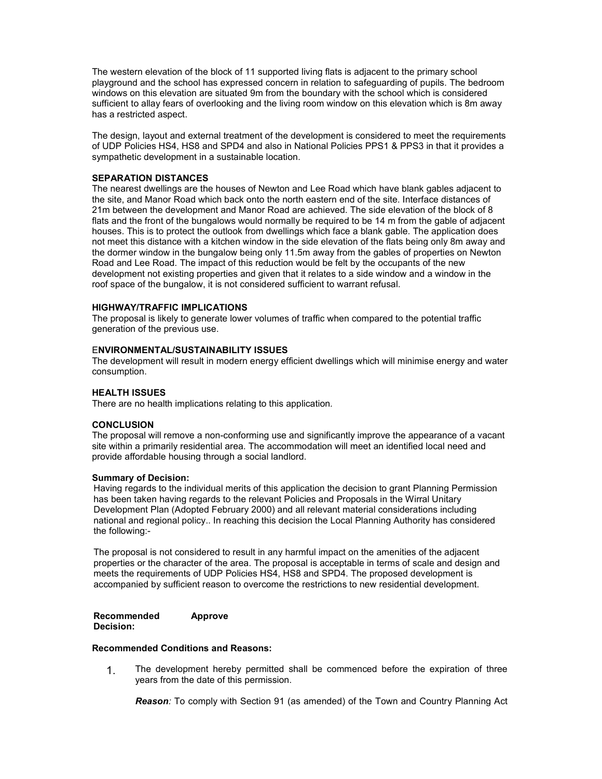The western elevation of the block of 11 supported living flats is adjacent to the primary school playground and the school has expressed concern in relation to safeguarding of pupils. The bedroom windows on this elevation are situated 9m from the boundary with the school which is considered sufficient to allay fears of overlooking and the living room window on this elevation which is 8m away has a restricted aspect.

The design, layout and external treatment of the development is considered to meet the requirements of UDP Policies HS4, HS8 and SPD4 and also in National Policies PPS1 & PPS3 in that it provides a sympathetic development in a sustainable location.

## SEPARATION DISTANCES

The nearest dwellings are the houses of Newton and Lee Road which have blank gables adjacent to the site, and Manor Road which back onto the north eastern end of the site. Interface distances of 21m between the development and Manor Road are achieved. The side elevation of the block of 8 flats and the front of the bungalows would normally be required to be 14 m from the gable of adjacent houses. This is to protect the outlook from dwellings which face a blank gable. The application does not meet this distance with a kitchen window in the side elevation of the flats being only 8m away and the dormer window in the bungalow being only 11.5m away from the gables of properties on Newton Road and Lee Road. The impact of this reduction would be felt by the occupants of the new development not existing properties and given that it relates to a side window and a window in the roof space of the bungalow, it is not considered sufficient to warrant refusal.

## HIGHWAY/TRAFFIC IMPLICATIONS

The proposal is likely to generate lower volumes of traffic when compared to the potential traffic generation of the previous use.

#### ENVIRONMENTAL/SUSTAINABILITY ISSUES

The development will result in modern energy efficient dwellings which will minimise energy and water consumption.

# HEALTH ISSUES

There are no health implications relating to this application.

# **CONCLUSION**

The proposal will remove a non-conforming use and significantly improve the appearance of a vacant site within a primarily residential area. The accommodation will meet an identified local need and provide affordable housing through a social landlord.

#### Summary of Decision:

Having regards to the individual merits of this application the decision to grant Planning Permission has been taken having regards to the relevant Policies and Proposals in the Wirral Unitary Development Plan (Adopted February 2000) and all relevant material considerations including national and regional policy.. In reaching this decision the Local Planning Authority has considered the following:-

The proposal is not considered to result in any harmful impact on the amenities of the adjacent properties or the character of the area. The proposal is acceptable in terms of scale and design and meets the requirements of UDP Policies HS4, HS8 and SPD4. The proposed development is accompanied by sufficient reason to overcome the restrictions to new residential development.

Recommended Decision: Approve

# Recommended Conditions and Reasons:

1. The development hereby permitted shall be commenced before the expiration of three years from the date of this permission.

**Reason:** To comply with Section 91 (as amended) of the Town and Country Planning Act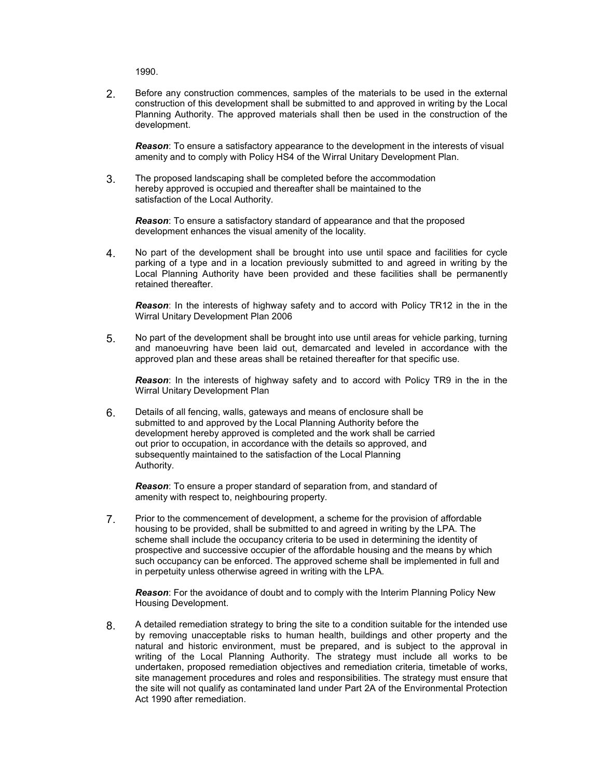1990.

2. Before any construction commences, samples of the materials to be used in the external construction of this development shall be submitted to and approved in writing by the Local Planning Authority. The approved materials shall then be used in the construction of the development.

Reason: To ensure a satisfactory appearance to the development in the interests of visual amenity and to comply with Policy HS4 of the Wirral Unitary Development Plan.

3. The proposed landscaping shall be completed before the accommodation hereby approved is occupied and thereafter shall be maintained to the satisfaction of the Local Authority.

Reason: To ensure a satisfactory standard of appearance and that the proposed development enhances the visual amenity of the locality.

4. No part of the development shall be brought into use until space and facilities for cycle parking of a type and in a location previously submitted to and agreed in writing by the Local Planning Authority have been provided and these facilities shall be permanently retained thereafter.

**Reason:** In the interests of highway safety and to accord with Policy TR12 in the in the Wirral Unitary Development Plan 2006

5. No part of the development shall be brought into use until areas for vehicle parking, turning and manoeuvring have been laid out, demarcated and leveled in accordance with the approved plan and these areas shall be retained thereafter for that specific use.

**Reason:** In the interests of highway safety and to accord with Policy TR9 in the in the Wirral Unitary Development Plan

6. Details of all fencing, walls, gateways and means of enclosure shall be submitted to and approved by the Local Planning Authority before the development hereby approved is completed and the work shall be carried out prior to occupation, in accordance with the details so approved, and subsequently maintained to the satisfaction of the Local Planning Authority.

Reason: To ensure a proper standard of separation from, and standard of amenity with respect to, neighbouring property.

7. Prior to the commencement of development, a scheme for the provision of affordable housing to be provided, shall be submitted to and agreed in writing by the LPA. The scheme shall include the occupancy criteria to be used in determining the identity of prospective and successive occupier of the affordable housing and the means by which such occupancy can be enforced. The approved scheme shall be implemented in full and in perpetuity unless otherwise agreed in writing with the LPA.

**Reason:** For the avoidance of doubt and to comply with the Interim Planning Policy New Housing Development.

8. A detailed remediation strategy to bring the site to a condition suitable for the intended use by removing unacceptable risks to human health, buildings and other property and the natural and historic environment, must be prepared, and is subject to the approval in writing of the Local Planning Authority. The strategy must include all works to be undertaken, proposed remediation objectives and remediation criteria, timetable of works, site management procedures and roles and responsibilities. The strategy must ensure that the site will not qualify as contaminated land under Part 2A of the Environmental Protection Act 1990 after remediation.